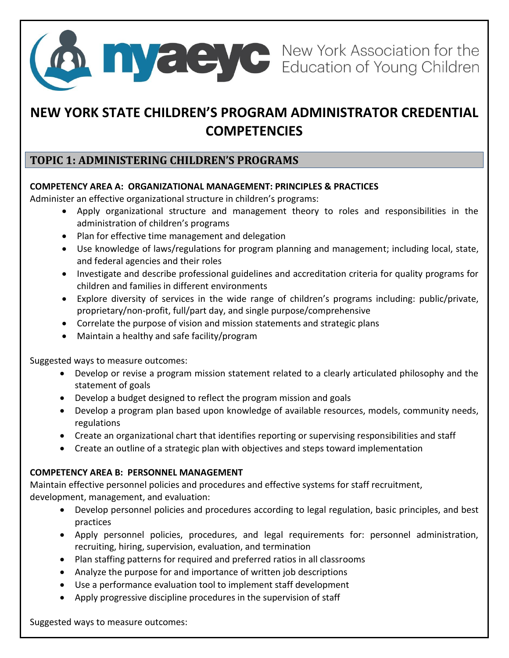

# **NEW YORK STATE CHILDREN'S PROGRAM ADMINISTRATOR CREDENTIAL COMPETENCIES**

### **TOPIC 1: ADMINISTERING CHILDREN'S PROGRAMS**

### **COMPETENCY AREA A: ORGANIZATIONAL MANAGEMENT: PRINCIPLES & PRACTICES**

Administer an effective organizational structure in children's programs:

- Apply organizational structure and management theory to roles and responsibilities in the administration of children's programs
- Plan for effective time management and delegation
- Use knowledge of laws/regulations for program planning and management; including local, state, and federal agencies and their roles
- Investigate and describe professional guidelines and accreditation criteria for quality programs for children and families in different environments
- Explore diversity of services in the wide range of children's programs including: public/private, proprietary/non-profit, full/part day, and single purpose/comprehensive
- Correlate the purpose of vision and mission statements and strategic plans
- Maintain a healthy and safe facility/program

Suggested ways to measure outcomes:

- Develop or revise a program mission statement related to a clearly articulated philosophy and the statement of goals
- Develop a budget designed to reflect the program mission and goals
- Develop a program plan based upon knowledge of available resources, models, community needs, regulations
- Create an organizational chart that identifies reporting or supervising responsibilities and staff
- Create an outline of a strategic plan with objectives and steps toward implementation

### **COMPETENCY AREA B: PERSONNEL MANAGEMENT**

Maintain effective personnel policies and procedures and effective systems for staff recruitment, development, management, and evaluation:

- Develop personnel policies and procedures according to legal regulation, basic principles, and best practices
- Apply personnel policies, procedures, and legal requirements for: personnel administration, recruiting, hiring, supervision, evaluation, and termination
- Plan staffing patterns for required and preferred ratios in all classrooms
- Analyze the purpose for and importance of written job descriptions
- Use a performance evaluation tool to implement staff development
- Apply progressive discipline procedures in the supervision of staff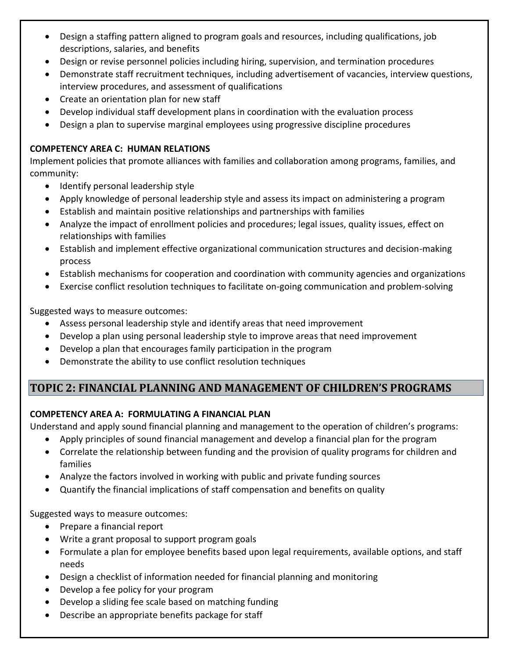- Design a staffing pattern aligned to program goals and resources, including qualifications, job descriptions, salaries, and benefits
- Design or revise personnel policies including hiring, supervision, and termination procedures
- Demonstrate staff recruitment techniques, including advertisement of vacancies, interview questions, interview procedures, and assessment of qualifications
- Create an orientation plan for new staff
- Develop individual staff development plans in coordination with the evaluation process
- Design a plan to supervise marginal employees using progressive discipline procedures

### **COMPETENCY AREA C: HUMAN RELATIONS**

Implement policies that promote alliances with families and collaboration among programs, families, and community:

- Identify personal leadership style
- Apply knowledge of personal leadership style and assess its impact on administering a program
- Establish and maintain positive relationships and partnerships with families
- Analyze the impact of enrollment policies and procedures; legal issues, quality issues, effect on relationships with families
- Establish and implement effective organizational communication structures and decision-making process
- Establish mechanisms for cooperation and coordination with community agencies and organizations
- Exercise conflict resolution techniques to facilitate on-going communication and problem-solving

Suggested ways to measure outcomes:

- Assess personal leadership style and identify areas that need improvement
- Develop a plan using personal leadership style to improve areas that need improvement
- Develop a plan that encourages family participation in the program
- Demonstrate the ability to use conflict resolution techniques

## **TOPIC 2: FINANCIAL PLANNING AND MANAGEMENT OF CHILDREN'S PROGRAMS**

### **COMPETENCY AREA A: FORMULATING A FINANCIAL PLAN**

Understand and apply sound financial planning and management to the operation of children's programs:

- Apply principles of sound financial management and develop a financial plan for the program
- Correlate the relationship between funding and the provision of quality programs for children and families
- Analyze the factors involved in working with public and private funding sources
- Quantify the financial implications of staff compensation and benefits on quality

- Prepare a financial report
- Write a grant proposal to support program goals
- Formulate a plan for employee benefits based upon legal requirements, available options, and staff needs
- Design a checklist of information needed for financial planning and monitoring
- Develop a fee policy for your program
- Develop a sliding fee scale based on matching funding
- Describe an appropriate benefits package for staff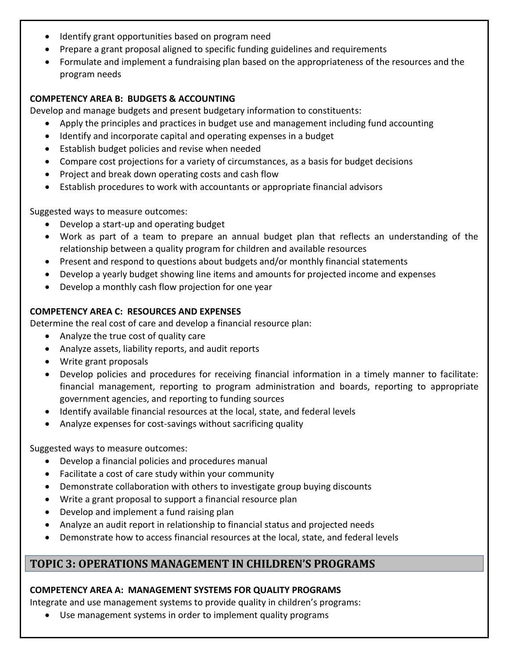- Identify grant opportunities based on program need
- Prepare a grant proposal aligned to specific funding guidelines and requirements
- Formulate and implement a fundraising plan based on the appropriateness of the resources and the program needs

### **COMPETENCY AREA B: BUDGETS & ACCOUNTING**

Develop and manage budgets and present budgetary information to constituents:

- Apply the principles and practices in budget use and management including fund accounting
- Identify and incorporate capital and operating expenses in a budget
- Establish budget policies and revise when needed
- Compare cost projections for a variety of circumstances, as a basis for budget decisions
- Project and break down operating costs and cash flow
- Establish procedures to work with accountants or appropriate financial advisors

Suggested ways to measure outcomes:

- Develop a start-up and operating budget
- Work as part of a team to prepare an annual budget plan that reflects an understanding of the relationship between a quality program for children and available resources
- Present and respond to questions about budgets and/or monthly financial statements
- Develop a yearly budget showing line items and amounts for projected income and expenses
- Develop a monthly cash flow projection for one year

#### **COMPETENCY AREA C: RESOURCES AND EXPENSES**

Determine the real cost of care and develop a financial resource plan:

- Analyze the true cost of quality care
- Analyze assets, liability reports, and audit reports
- Write grant proposals
- Develop policies and procedures for receiving financial information in a timely manner to facilitate: financial management, reporting to program administration and boards, reporting to appropriate government agencies, and reporting to funding sources
- Identify available financial resources at the local, state, and federal levels
- Analyze expenses for cost-savings without sacrificing quality

Suggested ways to measure outcomes:

- Develop a financial policies and procedures manual
- Facilitate a cost of care study within your community
- Demonstrate collaboration with others to investigate group buying discounts
- Write a grant proposal to support a financial resource plan
- Develop and implement a fund raising plan
- Analyze an audit report in relationship to financial status and projected needs
- Demonstrate how to access financial resources at the local, state, and federal levels

### **TOPIC 3: OPERATIONS MANAGEMENT IN CHILDREN'S PROGRAMS**

#### **COMPETENCY AREA A: MANAGEMENT SYSTEMS FOR QUALITY PROGRAMS**

Integrate and use management systems to provide quality in children's programs:

Use management systems in order to implement quality programs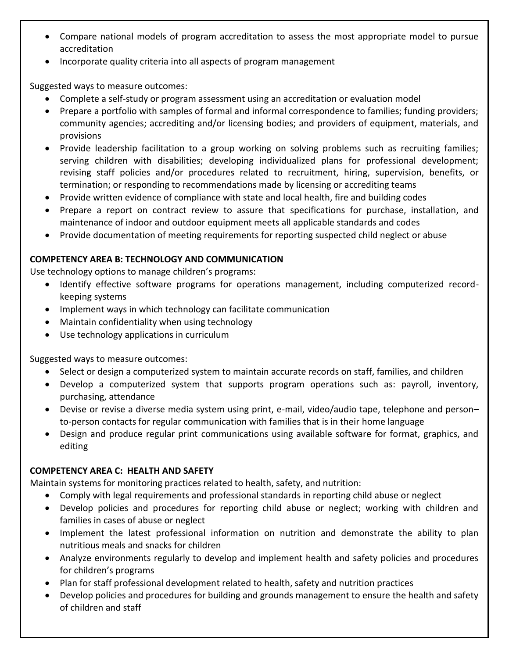- Compare national models of program accreditation to assess the most appropriate model to pursue accreditation
- Incorporate quality criteria into all aspects of program management

- Complete a self-study or program assessment using an accreditation or evaluation model
- Prepare a portfolio with samples of formal and informal correspondence to families; funding providers; community agencies; accrediting and/or licensing bodies; and providers of equipment, materials, and provisions
- Provide leadership facilitation to a group working on solving problems such as recruiting families; serving children with disabilities; developing individualized plans for professional development; revising staff policies and/or procedures related to recruitment, hiring, supervision, benefits, or termination; or responding to recommendations made by licensing or accrediting teams
- Provide written evidence of compliance with state and local health, fire and building codes
- Prepare a report on contract review to assure that specifications for purchase, installation, and maintenance of indoor and outdoor equipment meets all applicable standards and codes
- Provide documentation of meeting requirements for reporting suspected child neglect or abuse

### **COMPETENCY AREA B: TECHNOLOGY AND COMMUNICATION**

Use technology options to manage children's programs:

- Identify effective software programs for operations management, including computerized recordkeeping systems
- Implement ways in which technology can facilitate communication
- Maintain confidentiality when using technology
- Use technology applications in curriculum

Suggested ways to measure outcomes:

- Select or design a computerized system to maintain accurate records on staff, families, and children
- Develop a computerized system that supports program operations such as: payroll, inventory, purchasing, attendance
- Devise or revise a diverse media system using print, e-mail, video/audio tape, telephone and person– to-person contacts for regular communication with families that is in their home language
- Design and produce regular print communications using available software for format, graphics, and editing

### **COMPETENCY AREA C: HEALTH AND SAFETY**

Maintain systems for monitoring practices related to health, safety, and nutrition:

- Comply with legal requirements and professional standards in reporting child abuse or neglect
- Develop policies and procedures for reporting child abuse or neglect; working with children and families in cases of abuse or neglect
- Implement the latest professional information on nutrition and demonstrate the ability to plan nutritious meals and snacks for children
- Analyze environments regularly to develop and implement health and safety policies and procedures for children's programs
- Plan for staff professional development related to health, safety and nutrition practices
- Develop policies and procedures for building and grounds management to ensure the health and safety of children and staff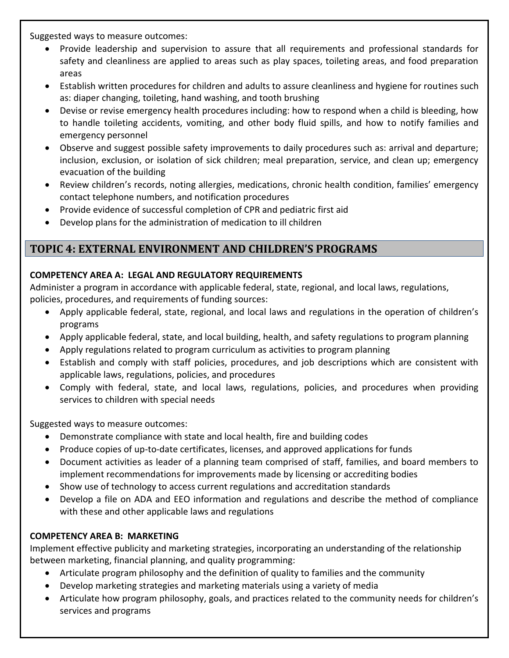- Provide leadership and supervision to assure that all requirements and professional standards for safety and cleanliness are applied to areas such as play spaces, toileting areas, and food preparation areas
- Establish written procedures for children and adults to assure cleanliness and hygiene for routines such as: diaper changing, toileting, hand washing, and tooth brushing
- Devise or revise emergency health procedures including: how to respond when a child is bleeding, how to handle toileting accidents, vomiting, and other body fluid spills, and how to notify families and emergency personnel
- Observe and suggest possible safety improvements to daily procedures such as: arrival and departure; inclusion, exclusion, or isolation of sick children; meal preparation, service, and clean up; emergency evacuation of the building
- Review children's records, noting allergies, medications, chronic health condition, families' emergency contact telephone numbers, and notification procedures
- Provide evidence of successful completion of CPR and pediatric first aid
- Develop plans for the administration of medication to ill children

### **TOPIC 4: EXTERNAL ENVIRONMENT AND CHILDREN'S PROGRAMS**

### **COMPETENCY AREA A: LEGAL AND REGULATORY REQUIREMENTS**

Administer a program in accordance with applicable federal, state, regional, and local laws, regulations, policies, procedures, and requirements of funding sources:

- Apply applicable federal, state, regional, and local laws and regulations in the operation of children's programs
- Apply applicable federal, state, and local building, health, and safety regulations to program planning
- Apply regulations related to program curriculum as activities to program planning
- Establish and comply with staff policies, procedures, and job descriptions which are consistent with applicable laws, regulations, policies, and procedures
- Comply with federal, state, and local laws, regulations, policies, and procedures when providing services to children with special needs

Suggested ways to measure outcomes:

- Demonstrate compliance with state and local health, fire and building codes
- Produce copies of up-to-date certificates, licenses, and approved applications for funds
- Document activities as leader of a planning team comprised of staff, families, and board members to implement recommendations for improvements made by licensing or accrediting bodies
- Show use of technology to access current regulations and accreditation standards
- Develop a file on ADA and EEO information and regulations and describe the method of compliance with these and other applicable laws and regulations

### **COMPETENCY AREA B: MARKETING**

Implement effective publicity and marketing strategies, incorporating an understanding of the relationship between marketing, financial planning, and quality programming:

- Articulate program philosophy and the definition of quality to families and the community
- Develop marketing strategies and marketing materials using a variety of media
- Articulate how program philosophy, goals, and practices related to the community needs for children's services and programs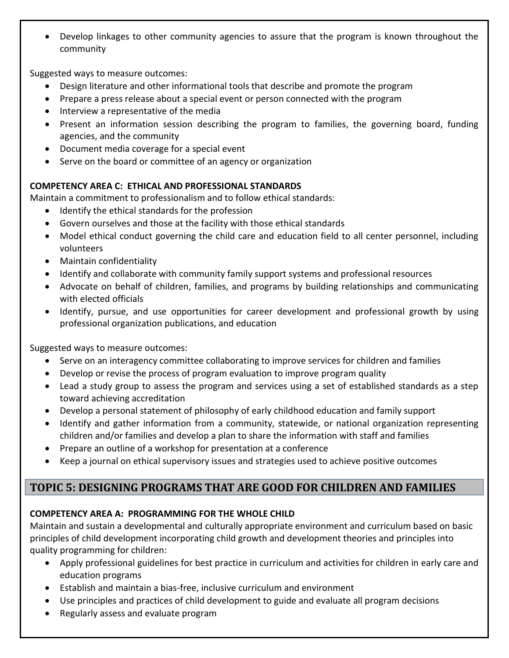Develop linkages to other community agencies to assure that the program is known throughout the community

Suggested ways to measure outcomes:

- Design literature and other informational tools that describe and promote the program
- Prepare a press release about a special event or person connected with the program
- Interview a representative of the media
- Present an information session describing the program to families, the governing board, funding agencies, and the community
- Document media coverage for a special event
- Serve on the board or committee of an agency or organization

#### **COMPETENCY AREA C: ETHICAL AND PROFESSIONAL STANDARDS**

Maintain a commitment to professionalism and to follow ethical standards:

- Identify the ethical standards for the profession
- Govern ourselves and those at the facility with those ethical standards
- Model ethical conduct governing the child care and education field to all center personnel, including volunteers
- Maintain confidentiality
- Identify and collaborate with community family support systems and professional resources
- Advocate on behalf of children, families, and programs by building relationships and communicating with elected officials
- Identify, pursue, and use opportunities for career development and professional growth by using professional organization publications, and education

Suggested ways to measure outcomes:

- Serve on an interagency committee collaborating to improve services for children and families
- Develop or revise the process of program evaluation to improve program quality
- Lead a study group to assess the program and services using a set of established standards as a step toward achieving accreditation
- Develop a personal statement of philosophy of early childhood education and family support
- Identify and gather information from a community, statewide, or national organization representing children and/or families and develop a plan to share the information with staff and families
- Prepare an outline of a workshop for presentation at a conference
- Keep a journal on ethical supervisory issues and strategies used to achieve positive outcomes

### **TOPIC 5: DESIGNING PROGRAMS THAT ARE GOOD FOR CHILDREN AND FAMILIES**

### **COMPETENCY AREA A: PROGRAMMING FOR THE WHOLE CHILD**

Maintain and sustain a developmental and culturally appropriate environment and curriculum based on basic principles of child development incorporating child growth and development theories and principles into quality programming for children:

- Apply professional guidelines for best practice in curriculum and activities for children in early care and education programs
- Establish and maintain a bias-free, inclusive curriculum and environment
- Use principles and practices of child development to guide and evaluate all program decisions
- Regularly assess and evaluate program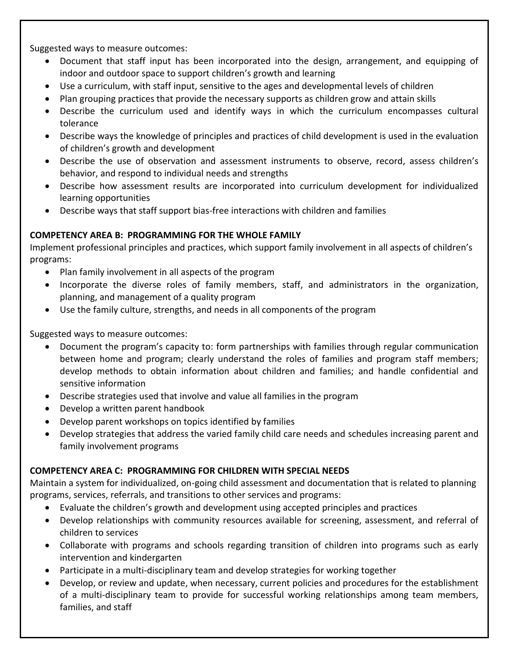- Document that staff input has been incorporated into the design, arrangement, and equipping of indoor and outdoor space to support children's growth and learning
- Use a curriculum, with staff input, sensitive to the ages and developmental levels of children
- Plan grouping practices that provide the necessary supports as children grow and attain skills
- Describe the curriculum used and identify ways in which the curriculum encompasses cultural tolerance
- Describe ways the knowledge of principles and practices of child development is used in the evaluation of children's growth and development
- Describe the use of observation and assessment instruments to observe, record, assess children's behavior, and respond to individual needs and strengths
- Describe how assessment results are incorporated into curriculum development for individualized learning opportunities
- Describe ways that staff support bias-free interactions with children and families

#### **COMPETENCY AREA B: PROGRAMMING FOR THE WHOLE FAMILY**

Implement professional principles and practices, which support family involvement in all aspects of children's programs:

- Plan family involvement in all aspects of the program
- Incorporate the diverse roles of family members, staff, and administrators in the organization, planning, and management of a quality program
- Use the family culture, strengths, and needs in all components of the program

Suggested ways to measure outcomes:

- Document the program's capacity to: form partnerships with families through regular communication between home and program; clearly understand the roles of families and program staff members; develop methods to obtain information about children and families; and handle confidential and sensitive information
- Describe strategies used that involve and value all families in the program
- Develop a written parent handbook
- Develop parent workshops on topics identified by families
- Develop strategies that address the varied family child care needs and schedules increasing parent and family involvement programs

### **COMPETENCY AREA C: PROGRAMMING FOR CHILDREN WITH SPECIAL NEEDS**

Maintain a system for individualized, on-going child assessment and documentation that is related to planning programs, services, referrals, and transitions to other services and programs:

- Evaluate the children's growth and development using accepted principles and practices
- Develop relationships with community resources available for screening, assessment, and referral of children to services
- Collaborate with programs and schools regarding transition of children into programs such as early intervention and kindergarten
- Participate in a multi-disciplinary team and develop strategies for working together
- Develop, or review and update, when necessary, current policies and procedures for the establishment of a multi-disciplinary team to provide for successful working relationships among team members, families, and staff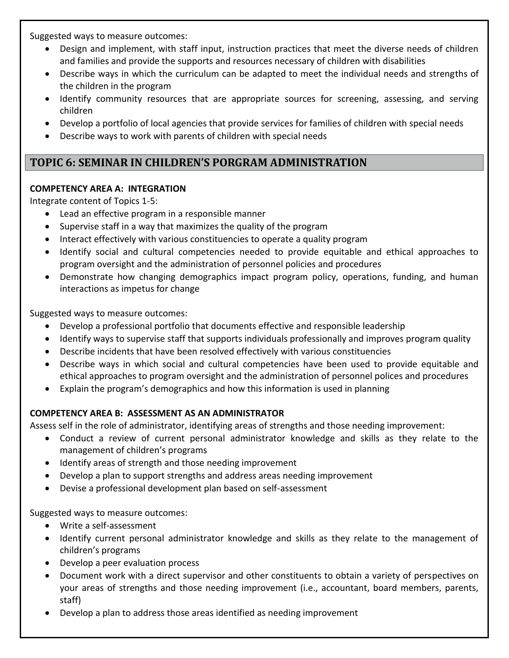- Design and implement, with staff input, instruction practices that meet the diverse needs of children and families and provide the supports and resources necessary of children with disabilities
- Describe ways in which the curriculum can be adapted to meet the individual needs and strengths of the children in the program
- Identify community resources that are appropriate sources for screening, assessing, and serving children
- Develop a portfolio of local agencies that provide services for families of children with special needs
- Describe ways to work with parents of children with special needs

### **TOPIC 6: SEMINAR IN CHILDREN'S PORGRAM ADMINISTRATION**

#### **COMPETENCY AREA A: INTEGRATION**

Integrate content of Topics 1-5:

- Lead an effective program in a responsible manner
- Supervise staff in a way that maximizes the quality of the program
- Interact effectively with various constituencies to operate a quality program
- Identify social and cultural competencies needed to provide equitable and ethical approaches to program oversight and the administration of personnel policies and procedures
- Demonstrate how changing demographics impact program policy, operations, funding, and human interactions as impetus for change

Suggested ways to measure outcomes:

- Develop a professional portfolio that documents effective and responsible leadership
- Identify ways to supervise staff that supports individuals professionally and improves program quality
- Describe incidents that have been resolved effectively with various constituencies
- Describe ways in which social and cultural competencies have been used to provide equitable and ethical approaches to program oversight and the administration of personnel polices and procedures
- Explain the program's demographics and how this information is used in planning

### **COMPETENCY AREA B: ASSESSMENT AS AN ADMINISTRATOR**

Assess self in the role of administrator, identifying areas of strengths and those needing improvement:

- Conduct a review of current personal administrator knowledge and skills as they relate to the management of children's programs
- Identify areas of strength and those needing improvement
- Develop a plan to support strengths and address areas needing improvement
- Devise a professional development plan based on self-assessment

- Write a self-assessment
- Identify current personal administrator knowledge and skills as they relate to the management of children's programs
- Develop a peer evaluation process
- Document work with a direct supervisor and other constituents to obtain a variety of perspectives on your areas of strengths and those needing improvement (i.e., accountant, board members, parents, staff)
- Develop a plan to address those areas identified as needing improvement